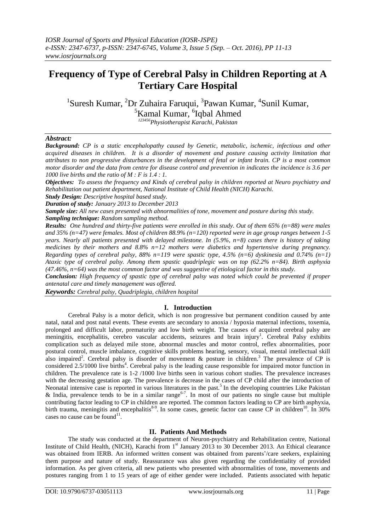# **Frequency of Type of Cerebral Palsy in Children Reporting at A Tertiary Care Hospital**

<sup>1</sup>Suresh Kumar, <sup>2</sup>Dr Zuhaira Faruqui, <sup>3</sup>Pawan Kumar, <sup>4</sup>Sunil Kumar, <sup>5</sup>Kamal Kumar, <sup>6</sup>Iqbal Ahmed

*<sup>123456</sup>Physiotherapist Karachi, Pakistan*

## *Abstract:*

*Background: CP is a static encephalopathy caused by Genetic, metabolic, ischemic, infectious and other acquired diseases in children. It is a disorder of movement and posture causing activity limitation that attributes to non progressive disturbances in the development of fetal or infant brain. CP is a most common motor disorder and the data from centre for disease control and prevention in indicates the incidence is 3.6 per 1000 live births and the ratio of M : F is 1.4 : 1.*

*Objectives: To assess the frequency and Kinds of cerebral palsy in children reported at Neuro psychiatry and Rehabilitation out patient department, National Institute of Child Health (NICH) Karachi.* 

*Study Design: Descriptive hospital based study.*

*Duration of study: January 2013 to December 2013*

*Sample size: All new cases presented with abnormalities of tone, movement and posture during this study. Sampling technique: Random sampling method.*

*Results: One hundred and thirty-five patients were enrolled in this study. Out of them 65% (n=88) were males and 35% (n=47) were females. Most of children 88.9% (n=120) reported were in age group ranges between 1-5 years. Nearly all patients presented with delayed milestone. In (5.9%, n=8) cases there is history of taking medicines by their mothers and 8.8% n=12 mothers were diabetics and hypertensive during pregnancy. Regarding types of cerebral palsy, 88% n=119 were spastic type, 4.5% (n=6) dyskinesia and 0.74% (n=1) Ataxic type of cerebral palsy. Among them spastic quadriplegic was on top (62.2% n=84). Birth asphyxia (47.46%, n=64) was the most common factor and was suggestive of etiological factor in this study.*

*Conclusion: High frequency of spastic type of cerebral palsy was noted which could be prevented if proper antenatal care and timely management was offered.*

*Keywords: Cerebral palsy, Quadriplegia, children hospital*

## **I. Introduction**

Cerebral Palsy is a motor deficit, which is non progressive but permanent condition caused by ante natal, natal and post natal events. These events are secondary to anoxia / hypoxia maternal infections, toxemia, prolonged and difficult labor, prematurity and low birth weight. The causes of acquired cerebral palsy are meningitis, encephalitis, cerebro vascular accidents, seizures and brain injury<sup>1</sup>. Cerebral Palsy exhibits complication such as delayed mile stone, abnormal muscles and motor control, reflex abnormalities, poor postural control, muscle imbalance, cognitive skills problems hearing, sensory, visual, mental intellectual skill also impaired<sup>2</sup>. Cerebral palsy is disorder of movement  $\&$  posture in children.<sup>3</sup> The prevalence of CP is considered 2.5/1000 live births<sup>4</sup>. Cerebral palsy is the leading cause responsible for impaired motor function in children. The prevalence rate is 1-2 /1000 live births seen in various cohort studies. The prevalence increases with the decreasing gestation age. The prevalence is decrease in the cases of CP child after the introduction of Neonatal intensive case is reported in various literatures in the past.<sup>5</sup> In the developing countries Like Pakistan & India, prevalence tends to be in a similar range<sup>6-7</sup>. In most of our patients no single cause but multiple contributing factor leading to CP in children are reported. The common factors leading to CP are birth asphyxia, birth trauma, meningitis and encephalitis<sup>8-9</sup>. In some cases, genetic factor can cause CP in children<sup>10</sup>. In 30% cases no cause can be found<sup>11</sup>.

## **II. Patients And Methods**

The study was conducted at the department of Neuron-psychiatry and Rehabilitation centre, National Institute of Child Health, (NICH), Karachi from 1<sup>st</sup> January 2013 to 30 December 2013. An Ethical clearance was obtained from IERB. An informed written consent was obtained from parents'/care seekers, explaining them purpose and nature of study. Reassurance was also given regarding the confidentiality of provided information. As per given criteria, all new patients who presented with abnormalities of tone, movements and postures ranging from 1 to 15 years of age of either gender were included. Patients associated with hepatic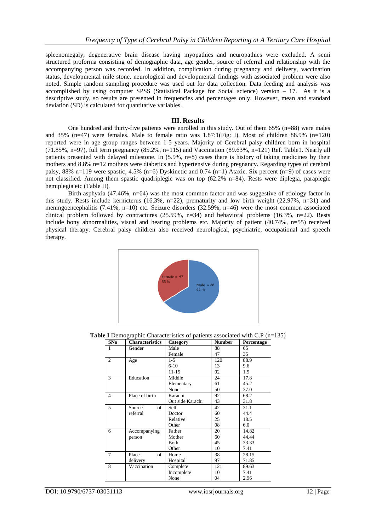spleenomegaly, degenerative brain disease having myopathies and neuropathies were excluded. A semi structured proforma consisting of demographic data, age gender, source of referral and relationship with the accompanying person was recorded. In addition, complication during pregnancy and delivery, vaccination status, developmental mile stone, neurological and developmental findings with associated problem were also noted. Simple random sampling procedure was used out for data collection. Data feeding and analysis was accomplished by using computer SPSS (Statistical Package for Social science) version – 17. As it is a descriptive study, so results are presented in frequencies and percentages only. However, mean and standard deviation (SD) is calculated for quantitative variables.

#### **III. Results**

One hundred and thirty-five patients were enrolled in this study. Out of them 65% (n=88) were males and 35% (n=47) were females. Male to female ratio was  $1.87:1$ (Fig: I). Most of children 88.9% (n=120) reported were in age group ranges between 1-5 years. Majority of Cerebral palsy children born in hospital  $(71.85\%, n=97)$ , full term pregnancy  $(85.2\%, n=115)$  and Vaccination  $(89.63\%, n=121)$  Ref. Table1. Nearly all patients presented with delayed milestone. In (5.9%, n=8) cases there is history of taking medicines by their mothers and 8.8% n=12 mothers were diabetics and hypertensive during pregnancy. Regarding types of cerebral palsy, 88% n=119 were spastic, 4.5% (n=6) Dyskinetic and 0.74 (n=1) Ataxic. Six percent (n=9) of cases were not classified. Among them spastic quadriplegic was on top (62.2% n=84). Rests were diplegia, paraplegic hemiplegia etc (Table II).

Birth asphyxia (47.46%,  $n=64$ ) was the most common factor and was suggestive of etiology factor in this study. Rests include kernicterus (16.3%, n=22), prematurity and low birth weight (22.97%, n=31) and meningoencephalitis (7.41%, n=10) etc. Seizure disorders (32.59%, n=46) were the most common associated clinical problem followed by contractures (25.59%, n=34) and behavioral problems (16.3%, n=22). Rests include bony abnormalities, visual and hearing problems etc. Majority of patient (40.74%, n=55) received physical therapy. Cerebral palsy children also received neurological, psychiatric, occupational and speech therapy.



**Table I** Demographic Characteristics of patients associated with C.P (n=135)

| SNo            | <b>Characteristics</b> | Category         | <b>Number</b> | Percentage |
|----------------|------------------------|------------------|---------------|------------|
| 1              | Gender                 | Male             | 88            | 65         |
|                |                        | Female           | 47            | 35         |
| $\overline{c}$ | Age                    | $1 - 5$          | 120           | 88.9       |
|                |                        | $6-10$           | 13            | 9.6        |
|                |                        | $11 - 15$        | 02            | 1.5        |
| 3              | Education              | Middle           | 24            | 17.8       |
|                |                        | Elementary       | 61            | 45.2       |
|                |                        | None             | 50            | 37.0       |
| $\overline{4}$ | Place of birth         | Karachi          | 92            | 68.2       |
|                |                        | Out side Karachi | 43            | 31.8       |
| 5              | of<br>Source           | Self             | 42            | 31.1       |
|                | referral               | Doctor           | 60            | 44.4       |
|                |                        | Relative         | 25            | 18.5       |
|                |                        | Other            | 08            | 6.0        |
| 6              | Accompanying           | Father           | 20            | 14.82      |
|                | person                 | Mother           | 60            | 44.44      |
|                |                        | Both             | 45            | 33.33      |
|                |                        | Other            | 10            | 7.41       |
| $\overline{7}$ | of<br>Place            | Home             | 38            | 28.15      |
|                | delivery               | Hospital         | 97            | 71.85      |
| 8              | Vaccination            | Complete         | 121           | 89.63      |
|                |                        | Incomplete       | 10            | 7.41       |
|                |                        | None             | 04            | 2.96       |